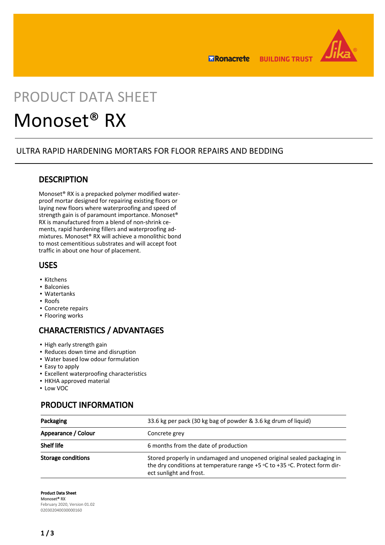

**ERonacrete BUILDING TRUST** 

# PRODUCT DATA SHEET

## Monoset® RX

## ULTRA RAPID HARDENING MORTARS FOR FLOOR REPAIRS AND BEDDING

## **DESCRIPTION**

Monoset® RX is a prepacked polymer modified waterproof mortar designed for repairing existing floors or laying new floors where waterproofing and speed of strength gain is of paramount importance. Monoset® RX is manufactured from a blend of non-shrink cements, rapid hardening fillers and waterproofing admixtures. Monoset® RX will achieve a monolithic bond to most cementitious substrates and will accept foot traffic in about one hour of placement.

## USES

- Kitchens
- Balconies
- Watertanks
- Roofs
- Concrete repairs
- **·** Flooring works

## CHARACTERISTICS / ADVANTAGES

- **.** High early strength gain
- Reduces down time and disruption
- Water based low odour formulation
- Easy to apply
- Excellent waterproofing characteristics
- **HKHA approved material**
- Low VOC

## PRODUCT INFORMATION

| Packaging                 | 33.6 kg per pack (30 kg bag of powder & 3.6 kg drum of liquid)                                                                                                                      |
|---------------------------|-------------------------------------------------------------------------------------------------------------------------------------------------------------------------------------|
| Appearance / Colour       | Concrete grey                                                                                                                                                                       |
| <b>Shelf life</b>         | 6 months from the date of production                                                                                                                                                |
| <b>Storage conditions</b> | Stored properly in undamaged and unopened original sealed packaging in<br>the dry conditions at temperature range $+5$ °C to $+35$ °C. Protect form dir-<br>ect sunlight and frost. |

Product Data Sheet Monoset® RX February 2020, Version 01.02 020302040030000160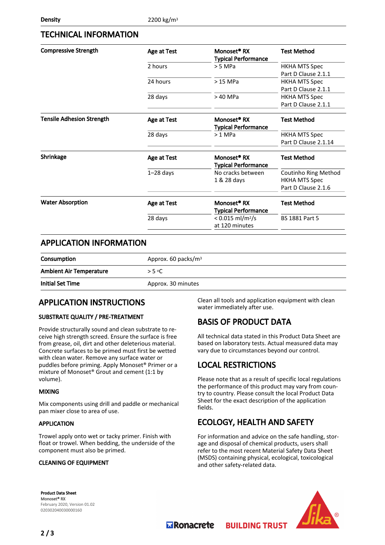## TECHNICAL INFORMATION

| <b>Compressive Strength</b>      | Age at Test | Monoset <sup>®</sup> RX<br><b>Typical Performance</b> | <b>Test Method</b>                                                  |
|----------------------------------|-------------|-------------------------------------------------------|---------------------------------------------------------------------|
|                                  | 2 hours     | $> 5$ MPa                                             | <b>HKHA MTS Spec</b><br>Part D Clause 2.1.1                         |
|                                  | 24 hours    | $>15$ MPa                                             | <b>HKHA MTS Spec</b><br>Part D Clause 2.1.1                         |
|                                  | 28 days     | > 40 MPa                                              | <b>HKHA MTS Spec</b><br>Part D Clause 2.1.1                         |
| <b>Tensile Adhesion Strength</b> | Age at Test | Monoset <sup>®</sup> RX<br><b>Typical Performance</b> | <b>Test Method</b>                                                  |
|                                  | 28 days     | $>1$ MPa                                              | <b>HKHA MTS Spec</b><br>Part D Clause 2.1.14                        |
| Shrinkage                        | Age at Test | Monoset <sup>®</sup> RX<br><b>Typical Performance</b> | <b>Test Method</b>                                                  |
|                                  | $1-28$ days | No cracks between<br>1 & 28 days                      | Coutinho Ring Method<br><b>HKHA MTS Spec</b><br>Part D Clause 2.1.6 |
| <b>Water Absorption</b>          | Age at Test | Monoset <sup>®</sup> RX<br><b>Typical Performance</b> | <b>Test Method</b>                                                  |
|                                  | 28 days     | < $0.015$ ml/m <sup>2</sup> /s<br>at 120 minutes      | <b>BS 1881 Part 5</b>                                               |

## APPLICATION INFORMATION

| Consumption                    | Approx. 60 packs/ $m3$ |
|--------------------------------|------------------------|
| <b>Ambient Air Temperature</b> | > 5 °C                 |
| <b>Initial Set Time</b>        | Approx. 30 minutes     |

## APPLICATION INSTRUCTIONS

#### SUBSTRATE QUALITY / PRE-TREATMENT

Provide structurally sound and clean substrate to receive high strength screed. Ensure the surface is free from grease, oil, dirt and other deleterious material. Concrete surfaces to be primed must first be wetted with clean water. Remove any surface water or puddles before priming. Apply Monoset® Primer or a mixture of Monoset® Grout and cement (1:1 by volume).

#### MIXING

Mix components using drill and paddle or mechanical pan mixer close to area of use.

#### APPLICATION

Trowel apply onto wet or tacky primer. Finish with float or trowel. When bedding, the underside of the component must also be primed.

#### CLEANING OF EQUIPMENT

Clean all tools and application equipment with clean water immediately after use.

## BASIS OF PRODUCT DATA

All technical data stated in this Product Data Sheet are based on laboratory tests. Actual measured data may vary due to circumstances beyond our control.

## LOCAL RESTRICTIONS

Please note that as a result of specific local regulations the performance of this product may vary from country to country. Please consult the local Product Data Sheet for the exact description of the application fields.

## ECOLOGY, HEALTH AND SAFETY

**BUILDING TRUST** 

For information and advice on the safe handling, storage and disposal of chemical products, users shall refer to the most recent Material Safety Data Sheet (MSDS) containing physical, ecological, toxicological and other safety-related data.

Product Data Sheet Monoset® RX February 2020, Version 01.02 020302040030000160



**MRonacrete**